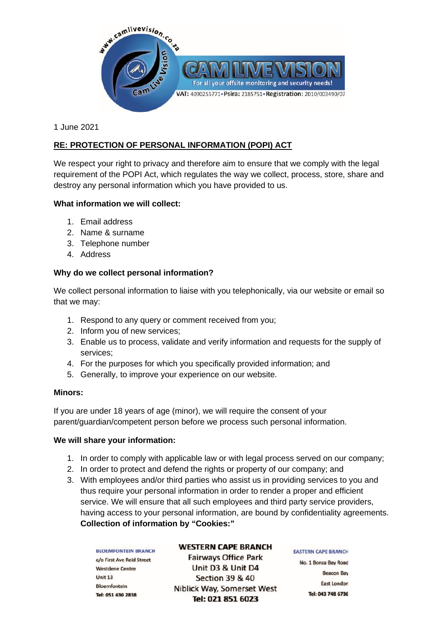

1 June 2021

# **RE: PROTECTION OF PERSONAL INFORMATION (POPI) ACT**

We respect your right to privacy and therefore aim to ensure that we comply with the legal requirement of the POPI Act, which regulates the way we collect, process, store, share and destroy any personal information which you have provided to us.

## **What information we will collect:**

- 1. Email address
- 2. Name & surname
- 3. Telephone number
- 4. Address

# **Why do we collect personal information?**

We collect personal information to liaise with you telephonically, via our website or email so that we may:

- 1. Respond to any query or comment received from you;
- 2. Inform you of new services;
- 3. Enable us to process, validate and verify information and requests for the supply of services;
- 4. For the purposes for which you specifically provided information; and
- 5. Generally, to improve your experience on our website.

### **Minors:**

If you are under 18 years of age (minor), we will require the consent of your parent/guardian/competent person before we process such personal information.

### **We will share your information:**

- 1. In order to comply with applicable law or with legal process served on our company;
- 2. In order to protect and defend the rights or property of our company; and
- 3. With employees and/or third parties who assist us in providing services to you and thus require your personal information in order to render a proper and efficient service. We will ensure that all such employees and third party service providers, having access to your personal information, are bound by confidentiality agreements. **Collection of information by "Cookies:"**

**BLOEMFONTEIN BRANCH** c/o First Ave Reid Street Westdene Centre  $Unit 13$ **Bloemfontein** Tel: 051 430 2838

#### **WESTERN CAPE BRANCH**

**Fairways Office Park** Unit D3 & Unit D4 Section 39 & 40 Niblick Way, Somerset West Tel: 021 851 6023

### **EASTERN CAPE BRANCH**

No. 1 Bonza Bay Road **Beacon Bay East London** Tel: 043 748 6736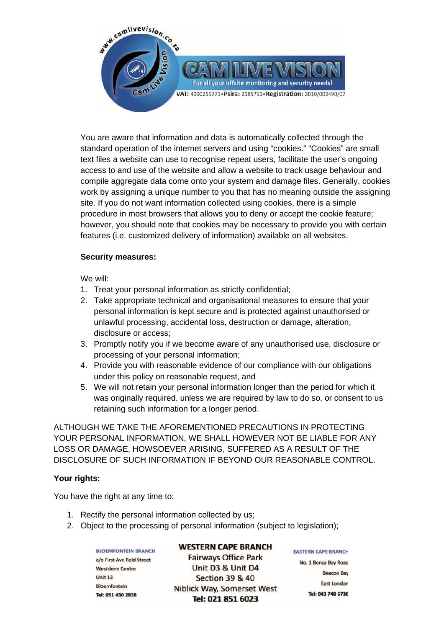

You are aware that information and data is automatically collected through the standard operation of the internet servers and using "cookies." "Cookies" are small text files a website can use to recognise repeat users, facilitate the user's ongoing access to and use of the website and allow a website to track usage behaviour and compile aggregate data come onto your system and damage files. Generally, cookies work by assigning a unique number to you that has no meaning outside the assigning site. If you do not want information collected using cookies, there is a simple procedure in most browsers that allows you to deny or accept the cookie feature; however, you should note that cookies may be necessary to provide you with certain features (i.e. customized delivery of information) available on all websites.

## **Security measures:**

We will:

- 1. Treat your personal information as strictly confidential;
- 2. Take appropriate technical and organisational measures to ensure that your personal information is kept secure and is protected against unauthorised or unlawful processing, accidental loss, destruction or damage, alteration, disclosure or access;
- 3. Promptly notify you if we become aware of any unauthorised use, disclosure or processing of your personal information;
- 4. Provide you with reasonable evidence of our compliance with our obligations under this policy on reasonable request, and
- 5. We will not retain your personal information longer than the period for which it was originally required, unless we are required by law to do so, or consent to us retaining such information for a longer period.

ALTHOUGH WE TAKE THE AFOREMENTIONED PRECAUTIONS IN PROTECTING YOUR PERSONAL INFORMATION, WE SHALL HOWEVER NOT BE LIABLE FOR ANY LOSS OR DAMAGE, HOWSOEVER ARISING, SUFFERED AS A RESULT OF THE DISCLOSURE OF SUCH INFORMATION IF BEYOND OUR REASONABLE CONTROL.

# **Your rights:**

You have the right at any time to:

- 1. Rectify the personal information collected by us;
- 2. Object to the processing of personal information (subject to legislation);

**BLOEMFONTEIN BRANCH** c/o First Ave Reid Street Westdene Centre Unit 13 **Bloemfontein** Tel: 051 430 2838

#### **WESTERN CAPE BRANCH**

**Fairways Office Park** Unit D3 & Unit D4 Section 39 & 40 Niblick Way, Somerset West Tel: 021 851 6023

**EASTERN CAPE BRANCH** No. 1 Bonza Bay Road **Beacon Bay East London** Tel: 043 748 6736